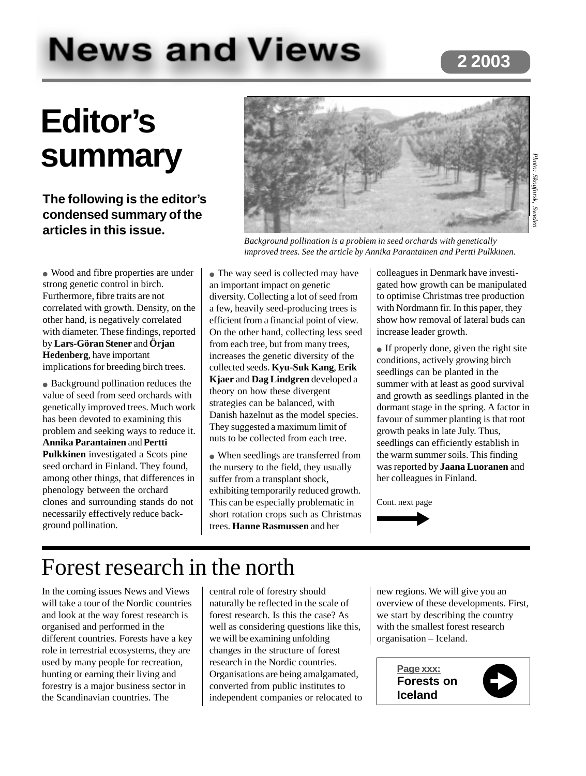# **News and Views**

# **2 2003**

# **Editor's summary**

#### **The following is the editor's condensed summary of the articles in this issue.**

● Wood and fibre properties are under strong genetic control in birch. Furthermore, fibre traits are not correlated with growth. Density, on the other hand, is negatively correlated with diameter. These findings, reported by **Lars-Göran Stener** and **Örjan Hedenberg**, have important implications for breeding birch trees.

● Background pollination reduces the value of seed from seed orchards with genetically improved trees. Much work has been devoted to examining this problem and seeking ways to reduce it. **Annika Parantainen** and **Pertti Pulkkinen** investigated a Scots pine seed orchard in Finland. They found, among other things, that differences in phenology between the orchard clones and surrounding stands do not necessarily effectively reduce background pollination.



*Background pollination is a problem in seed orchards with genetically improved trees. See the article by Annika Parantainen and Pertti Pulkkinen.*

• The way seed is collected may have an important impact on genetic diversity. Collecting a lot of seed from a few, heavily seed-producing trees is efficient from a financial point of view. On the other hand, collecting less seed from each tree, but from many trees, increases the genetic diversity of the collected seeds. **Kyu-Suk Kang**, **Erik Kjaer** and **Dag Lindgren** developed a theory on how these divergent strategies can be balanced, with Danish hazelnut as the model species. They suggested a maximum limit of nuts to be collected from each tree.

• When seedlings are transferred from the nursery to the field, they usually suffer from a transplant shock, exhibiting temporarily reduced growth. This can be especially problematic in short rotation crops such as Christmas trees. **Hanne Rasmussen** and her

colleagues in Denmark have investigated how growth can be manipulated to optimise Christmas tree production with Nordmann fir. In this paper, they show how removal of lateral buds can increase leader growth.

• If properly done, given the right site conditions, actively growing birch seedlings can be planted in the summer with at least as good survival and growth as seedlings planted in the dormant stage in the spring. A factor in favour of summer planting is that root growth peaks in late July. Thus, seedlings can efficiently establish in the warm summer soils. This finding was reported by **Jaana Luoranen** and her colleagues in Finland.

Cont. next page



# Forest research in the north

In the coming issues News and Views will take a tour of the Nordic countries and look at the way forest research is organised and performed in the different countries. Forests have a key role in terrestrial ecosystems, they are used by many people for recreation, hunting or earning their living and forestry is a major business sector in the Scandinavian countries. The

central role of forestry should naturally be reflected in the scale of forest research. Is this the case? As well as considering questions like this, we will be examining unfolding changes in the structure of forest research in the Nordic countries. Organisations are being amalgamated, converted from public institutes to independent companies or relocated to

new regions. We will give you an overview of these developments. First, we start by describing the country with the smallest forest research organisation – Iceland.

> **Page xxx: Forests on Iceland**

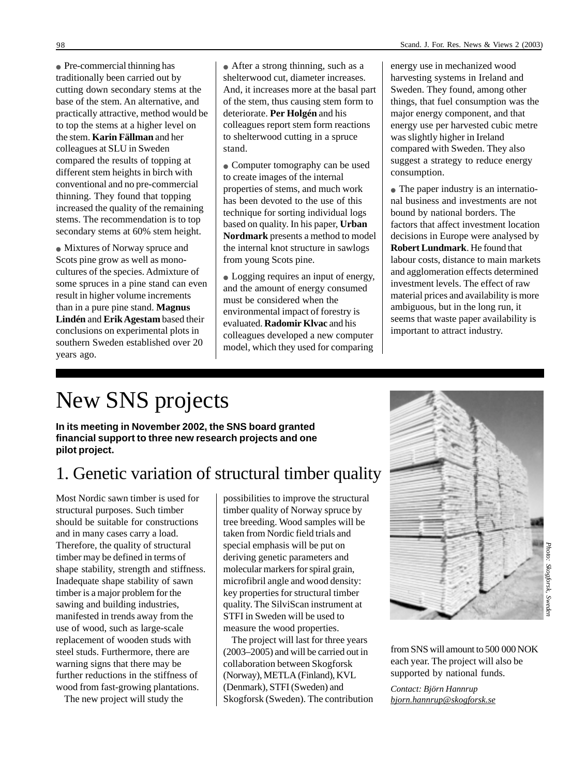● Pre-commercial thinning has traditionally been carried out by cutting down secondary stems at the base of the stem. An alternative, and practically attractive, method would be to top the stems at a higher level on the stem. **Karin Fällman** and her colleagues at SLU in Sweden compared the results of topping at different stem heights in birch with conventional and no pre-commercial thinning. They found that topping increased the quality of the remaining stems. The recommendation is to top secondary stems at 60% stem height.

● Mixtures of Norway spruce and Scots pine grow as well as monocultures of the species. Admixture of some spruces in a pine stand can even result in higher volume increments than in a pure pine stand. **Magnus Lindén** and **Erik Agestam** based their conclusions on experimental plots in southern Sweden established over 20 years ago.

● After a strong thinning, such as a shelterwood cut, diameter increases. And, it increases more at the basal part of the stem, thus causing stem form to deteriorate. **Per Holgén** and his colleagues report stem form reactions to shelterwood cutting in a spruce stand.

• Computer tomography can be used to create images of the internal properties of stems, and much work has been devoted to the use of this technique for sorting individual logs based on quality. In his paper, **Urban Nordmark** presents a method to model the internal knot structure in sawlogs from young Scots pine.

• Logging requires an input of energy, and the amount of energy consumed must be considered when the environmental impact of forestry is evaluated. **Radomir Klvac** and his colleagues developed a new computer model, which they used for comparing

energy use in mechanized wood harvesting systems in Ireland and Sweden. They found, among other things, that fuel consumption was the major energy component, and that energy use per harvested cubic metre was slightly higher in Ireland compared with Sweden. They also suggest a strategy to reduce energy consumption.

• The paper industry is an international business and investments are not bound by national borders. The factors that affect investment location decisions in Europe were analysed by **Robert Lundmark**. He found that labour costs, distance to main markets and agglomeration effects determined investment levels. The effect of raw material prices and availability is more ambiguous, but in the long run, it seems that waste paper availability is important to attract industry.

# New SNS projects

**In its meeting in November 2002, the SNS board granted financial support to three new research projects and one pilot project.**

## 1. Genetic variation of structural timber quality

Most Nordic sawn timber is used for structural purposes. Such timber should be suitable for constructions and in many cases carry a load. Therefore, the quality of structural timber may be defined in terms of shape stability, strength and stiffness. Inadequate shape stability of sawn timber is a major problem for the sawing and building industries, manifested in trends away from the use of wood, such as large-scale replacement of wooden studs with steel studs. Furthermore, there are warning signs that there may be further reductions in the stiffness of wood from fast-growing plantations.

The new project will study the

possibilities to improve the structural timber quality of Norway spruce by tree breeding. Wood samples will be taken from Nordic field trials and special emphasis will be put on deriving genetic parameters and molecular markers for spiral grain, microfibril angle and wood density: key properties for structural timber quality. The SilviScan instrument at STFI in Sweden will be used to measure the wood properties.

The project will last for three years (2003–2005) and will be carried out in collaboration between Skogforsk (Norway), METLA (Finland), KVL (Denmark), STFI (Sweden) and Skogforsk (Sweden). The contribution



from SNS will amount to 500 000 NOK each year. The project will also be supported by national funds.

*Contact: Björn Hannrup bjorn.hannrup@skogforsk.se*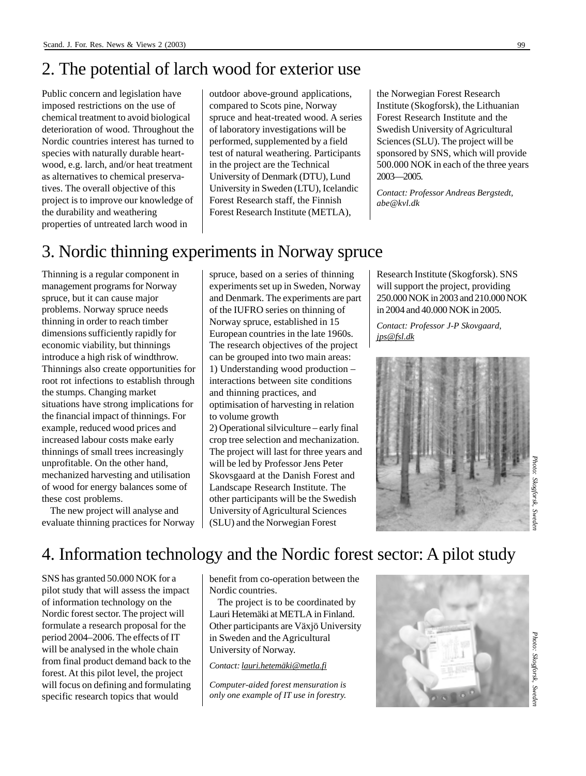### 2. The potential of larch wood for exterior use

Public concern and legislation have imposed restrictions on the use of chemical treatment to avoid biological deterioration of wood. Throughout the Nordic countries interest has turned to species with naturally durable heartwood, e.g. larch, and/or heat treatment as alternatives to chemical preservatives. The overall objective of this project is to improve our knowledge of the durability and weathering properties of untreated larch wood in

outdoor above-ground applications, compared to Scots pine, Norway spruce and heat-treated wood. A series of laboratory investigations will be performed, supplemented by a field test of natural weathering. Participants in the project are the Technical University of Denmark (DTU), Lund University in Sweden (LTU), Icelandic Forest Research staff, the Finnish Forest Research Institute (METLA),

the Norwegian Forest Research Institute (Skogforsk), the Lithuanian Forest Research Institute and the Swedish University of Agricultural Sciences (SLU). The project will be sponsored by SNS, which will provide 500.000 NOK in each of the three years 2003—2005.

*Contact: Professor Andreas Bergstedt, abe@kvl.dk*

### 3. Nordic thinning experiments in Norway spruce

Thinning is a regular component in management programs for Norway spruce, but it can cause major problems. Norway spruce needs thinning in order to reach timber dimensions sufficiently rapidly for economic viability, but thinnings introduce a high risk of windthrow. Thinnings also create opportunities for root rot infections to establish through the stumps. Changing market situations have strong implications for the financial impact of thinnings. For example, reduced wood prices and increased labour costs make early thinnings of small trees increasingly unprofitable. On the other hand, mechanized harvesting and utilisation of wood for energy balances some of these cost problems.

The new project will analyse and evaluate thinning practices for Norway spruce, based on a series of thinning experiments set up in Sweden, Norway and Denmark. The experiments are part of the IUFRO series on thinning of Norway spruce, established in 15 European countries in the late 1960s. The research objectives of the project can be grouped into two main areas: 1) Understanding wood production – interactions between site conditions and thinning practices, and optimisation of harvesting in relation to volume growth

2) Operational silviculture – early final crop tree selection and mechanization. The project will last for three years and will be led by Professor Jens Peter Skovsgaard at the Danish Forest and Landscape Research Institute. The other participants will be the Swedish University of Agricultural Sciences (SLU) and the Norwegian Forest

Research Institute (Skogforsk). SNS will support the project, providing 250.000 NOK in 2003 and 210.000 NOK in 2004 and 40.000 NOK in 2005.

*Contact: Professor J-P Skovgaard, jps@fsl.dk*



# 4. Information technology and the Nordic forest sector: A pilot study

SNS has granted 50.000 NOK for a pilot study that will assess the impact of information technology on the Nordic forest sector. The project will formulate a research proposal for the period 2004–2006. The effects of IT will be analysed in the whole chain from final product demand back to the forest. At this pilot level, the project will focus on defining and formulating specific research topics that would

benefit from co-operation between the Nordic countries.

The project is to be coordinated by Lauri Hetemäki at METLA in Finland. Other participants are Växjö University in Sweden and the Agricultural University of Norway.

#### *Contact: lauri.hetemäki@metla.fi*

*Computer-aided forest mensuration is only one example of IT use in forestry.*

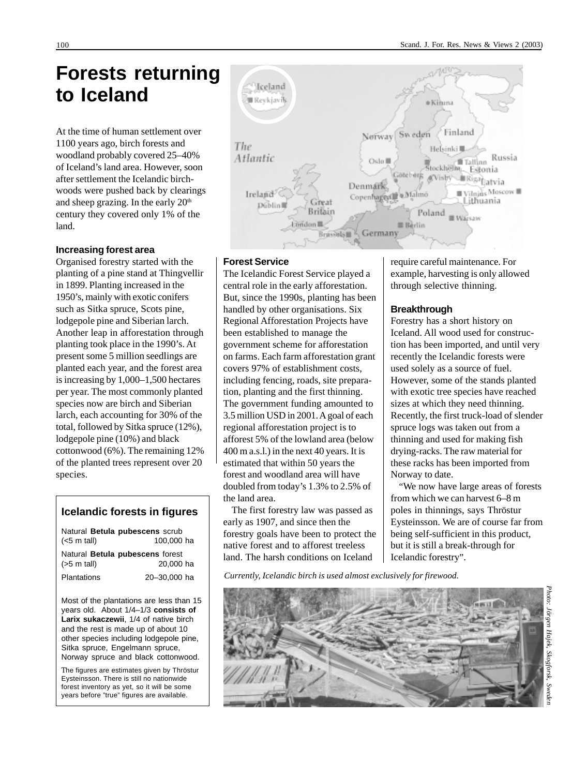# **Forests returning to Iceland**

At the time of human settlement over 1100 years ago, birch forests and woodland probably covered 25–40% of Iceland's land area. However, soon after settlement the Icelandic birchwoods were pushed back by clearings and sheep grazing. In the early 20<sup>th</sup> century they covered only 1% of the land.

#### **Increasing forest area**

Organised forestry started with the planting of a pine stand at Thingvellir in 1899. Planting increased in the 1950's, mainly with exotic conifers such as Sitka spruce, Scots pine, lodgepole pine and Siberian larch. Another leap in afforestation through planting took place in the 1990's. At present some 5 million seedlings are planted each year, and the forest area is increasing by 1,000–1,500 hectares per year. The most commonly planted species now are birch and Siberian larch, each accounting for 30% of the total, followed by Sitka spruce (12%), lodgepole pine (10%) and black cottonwood (6%). The remaining 12% of the planted trees represent over 20 species.

#### **Icelandic forests in figures**

| $(<5$ m tall)         | Natural Betula pubescens scrub<br>100,000 ha |
|-----------------------|----------------------------------------------|
| $(55 \text{ m tall})$ | Natural Betula pubescens forest<br>20,000 ha |
| Plantations           | 20-30.000 ha                                 |

Most of the plantations are less than 15 years old. About 1/4–1/3 **consists of Larix sukaczewii**, 1/4 of native birch and the rest is made up of about 10 other species including lodgepole pine, Sitka spruce, Engelmann spruce, Norway spruce and black cottonwood.

The figures are estimates given by Thröstur Eysteinsson. There is still no nationwide forest inventory as yet, so it will be some years before "true" figures are available.



#### **Forest Service**

The Icelandic Forest Service played a central role in the early afforestation. But, since the 1990s, planting has been handled by other organisations. Six Regional Afforestation Projects have been established to manage the government scheme for afforestation on farms. Each farm afforestation grant covers 97% of establishment costs, including fencing, roads, site preparation, planting and the first thinning. The government funding amounted to 3.5 million USD in 2001. A goal of each regional afforestation project is to afforest 5% of the lowland area (below 400 m a.s.l.) in the next 40 years. It is estimated that within 50 years the forest and woodland area will have doubled from today's 1.3% to 2.5% of the land area.

The first forestry law was passed as early as 1907, and since then the forestry goals have been to protect the native forest and to afforest treeless land. The harsh conditions on Iceland

require careful maintenance. For example, harvesting is only allowed through selective thinning.

#### **Breakthrough**

Forestry has a short history on Iceland. All wood used for construction has been imported, and until very recently the Icelandic forests were used solely as a source of fuel. However, some of the stands planted with exotic tree species have reached sizes at which they need thinning. Recently, the first truck-load of slender spruce logs was taken out from a thinning and used for making fish drying-racks. The raw material for these racks has been imported from Norway to date.

"We now have large areas of forests from which we can harvest 6–8 m poles in thinnings, says Thröstur Eysteinsson. We are of course far from being self-sufficient in this product, but it is still a break-through for Icelandic forestry".

*Currently, Icelandic birch is used almost exclusively for firewood.*

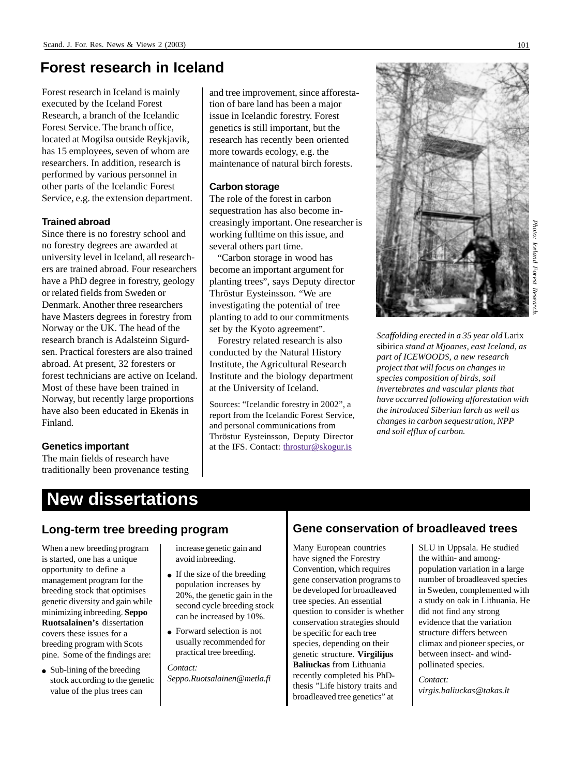### **Forest research in Iceland**

Forest research in Iceland is mainly executed by the Iceland Forest Research, a branch of the Icelandic Forest Service. The branch office, located at Mogilsa outside Reykjavik, has 15 employees, seven of whom are researchers. In addition, research is performed by various personnel in other parts of the Icelandic Forest Service, e.g. the extension department.

#### **Trained abroad**

Since there is no forestry school and no forestry degrees are awarded at university level in Iceland, all researchers are trained abroad. Four researchers have a PhD degree in forestry, geology or related fields from Sweden or Denmark. Another three researchers have Masters degrees in forestry from Norway or the UK. The head of the research branch is Adalsteinn Sigurdsen. Practical foresters are also trained abroad. At present, 32 foresters or forest technicians are active on Iceland. Most of these have been trained in Norway, but recently large proportions have also been educated in Ekenäs in Finland.

#### **Genetics important**

The main fields of research have traditionally been provenance testing and tree improvement, since afforestation of bare land has been a major issue in Icelandic forestry. Forest genetics is still important, but the research has recently been oriented more towards ecology, e.g. the maintenance of natural birch forests.

#### **Carbon storage**

The role of the forest in carbon sequestration has also become increasingly important. One researcher is working fulltime on this issue, and several others part time.

"Carbon storage in wood has become an important argument for planting trees", says Deputy director Thröstur Eysteinsson. "We are investigating the potential of tree planting to add to our commitments set by the Kyoto agreement".

Forestry related research is also conducted by the Natural History Institute, the Agricultural Research Institute and the biology department at the University of Iceland.

Sources: "Icelandic forestry in 2002", a report from the Icelandic Forest Service, and personal communications from Thröstur Eysteinsson, Deputy Director at the IFS. Contact: throstur@skogur.is



*Scaffolding erected in a 35 year old* Larix sibirica *stand at Mjoanes, east Iceland, as part of ICEWOODS, a new research project that will focus on changes in species composition of birds, soil invertebrates and vascular plants that have occurred following afforestation with the introduced Siberian larch as well as changes in carbon sequestration, NPP and soil efflux of carbon.*

# **New dissertations**

When a new breeding program is started, one has a unique opportunity to define a management program for the breeding stock that optimises genetic diversity and gain while minimizing inbreeding. **Seppo Ruotsalainen's** dissertation covers these issues for a breeding program with Scots pine. Some of the findings are:

• Sub-lining of the breeding stock according to the genetic value of the plus trees can

increase genetic gain and avoid inbreeding.

- $\bullet$  If the size of the breeding population increases by 20%, the genetic gain in the second cycle breeding stock can be increased by 10%.
- Forward selection is not usually recommended for practical tree breeding.

*Contact: Seppo.Ruotsalainen@metla.fi*

#### **Long-term tree breeding program Gene conservation of broadleaved trees**

Many European countries have signed the Forestry Convention, which requires gene conservation programs to be developed for broadleaved tree species. An essential question to consider is whether conservation strategies should be specific for each tree species, depending on their genetic structure. **Virgilijus Baliuckas** from Lithuania recently completed his PhDthesis "Life history traits and broadleaved tree genetics" at

SLU in Uppsala. He studied the within- and amongpopulation variation in a large number of broadleaved species in Sweden, complemented with a study on oak in Lithuania. He did not find any strong evidence that the variation structure differs between climax and pioneer species, or between insect- and windpollinated species.

*Contact: virgis.baliuckas@takas.lt*